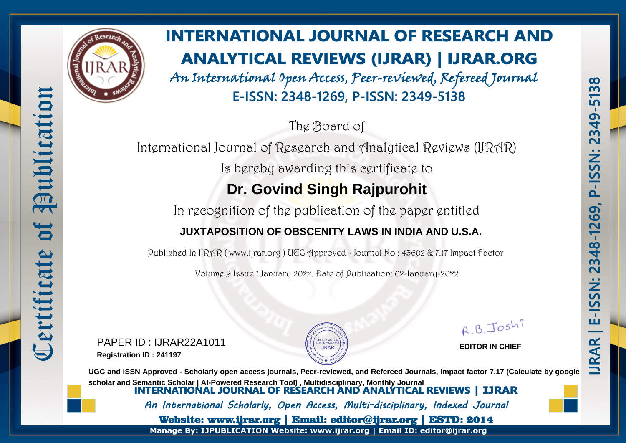

# **INTERNATIONAL JOURNAL OF RESEARCH AND ANALYTICAL REVIEWS (IJRAR) | IJRAR.ORG**

An International Open Access, Peer-reviewed, Refereed Journal E-ISSN: 2348-1269, P-ISSN: 2349-5138

The Board of

International Journal of Research and Analytical Reviews (IJRAR) Is hereby awarding this certificate to **Dr. Govind Singh Rajpurohit**

In recognition of the publication of the paper entitled

#### **JUXTAPOSITION OF OBSCENITY LAWS IN INDIA AND U.S.A.**

Published In IJRAR ( www.ijrar.org ) UGC Approved - Journal No : 43602 & 7.17 Impact Factor

Volume 9 Issue 1 January 2022, Date of Publication: 02-January-2022

PAPER ID : IJRAR22A1011 **Registration ID : 241197**



R.B.Joshi

 $\infty$  $\mathsf{m}$ 

<u>ភ</u>  $\blacksquare$  $\overline{49}$  $\tilde{ }$  $\overline{\mathbf{N}}$ 

SN:

 $\tilde{\mathbf{M}}$ 7  $\Delta$ 

 $\overline{a}$  $\overline{6}$ 

 $\overline{\mathbf{N}}$ 

348

 $\mathbf{\Omega}$ 

SN:

 $\frac{5}{1}$ 

ш

**RAR** 

**EDITOR IN CHIEF**

**UGC and ISSN Approved - Scholarly open access journals, Peer-reviewed, and Refereed Journals, Impact factor 7.17 (Calculate by google** scholar and Semantic Scholar | AI-Powered Research Tool), Multidisciplinary, Monthly Journal<br>**INTERNATIONAL JOURNAL OF RESEARCH AND ANALYTICAL REVIEWS | IJRAR** An International Scholarly, Open Access, Multi-disciplinary, Indexed Journal Website: www.ijrar.org | Email: editor@ijrar.org | ESTD: 2014 Manage By: IJPUBLICATION Website: www.ijrar.org | Email ID: editor@ijrar.org